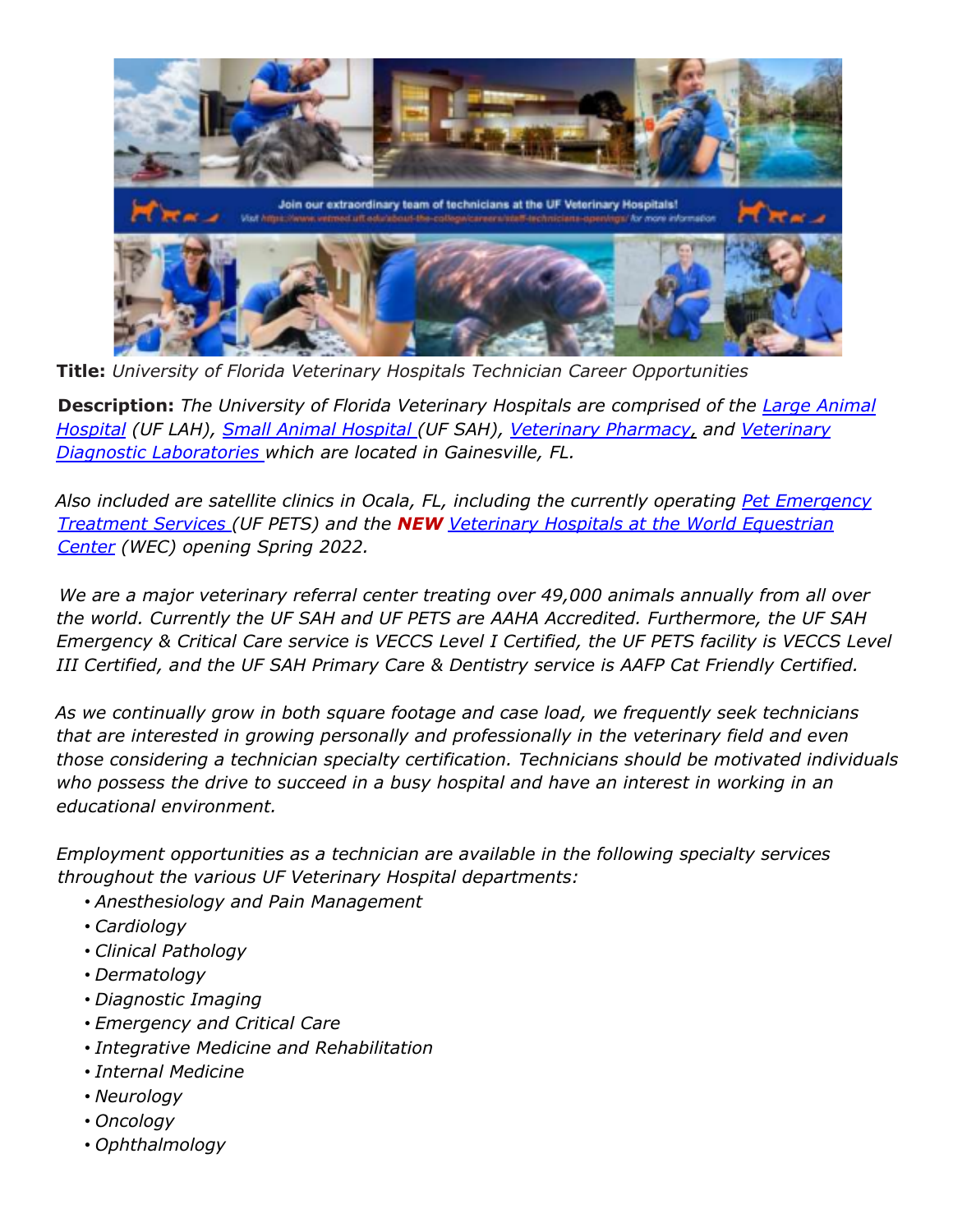

**Title:** *University of Florida Veterinary Hospitals Technician Career Opportunities*

**Description:** *The University of Florida Veterinary Hospitals are comprised of the Large Animal Hospital (UF LAH), Small Animal Hospital (UF SAH), Veterinary Pharmacy, and Veterinary Diagnostic Laboratories which are located in Gainesville, FL.*

*Also included are satellite clinics in Ocala, FL, including the currently operating Pet Emergency Treatment Services (UF PETS) and the NEW Veterinary Hospitals at the World Equestrian Center (WEC) opening Spring 2022.*

*We are a major veterinary referral center treating over 49,000 animals annually from all over the world. Currently the UF SAH and UF PETS are AAHA Accredited. Furthermore, the UF SAH Emergency & Critical Care service is VECCS Level I Certified, the UF PETS facility is VECCS Level III Certified, and the UF SAH Primary Care & Dentistry service is AAFP Cat Friendly Certified.*

*As we continually grow in both square footage and case load, we frequently seek technicians that are interested in growing personally and professionally in the veterinary field and even those considering a technician specialty certification. Technicians should be motivated individuals who possess the drive to succeed in a busy hospital and have an interest in working in an educational environment.*

*Employment opportunities as a technician are available in the following specialty services throughout the various UF Veterinary Hospital departments:*

- *Anesthesiology and Pain Management*
- *Cardiology*
- *Clinical Pathology*
- *Dermatology*
- *Diagnostic Imaging*
- *Emergency and Critical Care*
- *Integrative Medicine and Rehabilitation*
- *Internal Medicine*
- *Neurology*
- *Oncology*
- *Ophthalmology*